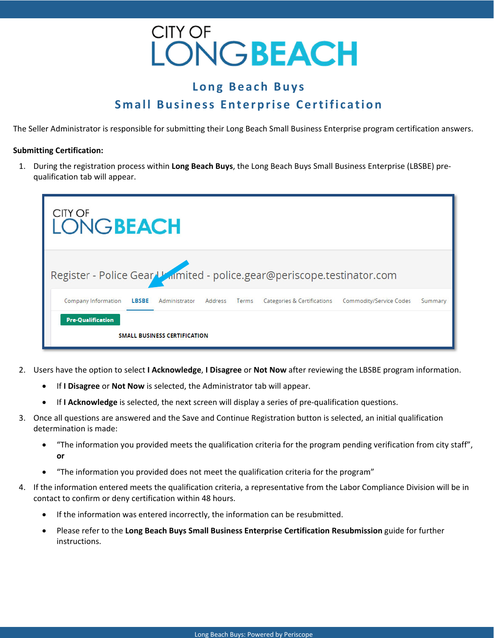

## **Long Beach Buys Small Business Enterprise Certification**

The Seller Administrator is responsible for submitting their Long Beach Small Business Enterprise program certification answers.

#### **Submitting Certification:**

1. During the registration process within **Long Beach Buys**, the Long Beach Buys Small Business Enterprise (LBSBE) pre‐ qualification tab will appear.

| CITY OF<br><b>LONGBEACH</b>                                            |               |         |       |                             |                         |         |
|------------------------------------------------------------------------|---------------|---------|-------|-----------------------------|-------------------------|---------|
| Register - Police Gear Usamited - police.gear@periscope.testinator.com |               |         |       |                             |                         |         |
| Company Information<br><b>LBSBE</b>                                    | Administrator | Address | Terms | Categories & Certifications | Commodity/Service Codes | Summary |
| <b>Pre-Qualification</b><br><b>SMALL BUSINESS CERTIFICATION</b>        |               |         |       |                             |                         |         |

- 2. Users have the option to select **I Acknowledge**, **I Disagree** or **Not Now** after reviewing the LBSBE program information.
	- If **I Disagree** or **Not Now** is selected, the Administrator tab will appear.
	- If **I Acknowledge** is selected, the next screen will display a series of pre-qualification questions.
- 3. Once all questions are answered and the Save and Continue Registration button is selected, an initial qualification determination is made:
	- "The information you provided meets the qualification criteria for the program pending verification from city staff", **or**
	- "The information you provided does not meet the qualification criteria for the program"
- 4. If the information entered meets the qualification criteria, a representative from the Labor Compliance Division will be in contact to confirm or deny certification within 48 hours.
	- If the information was entered incorrectly, the information can be resubmitted.
	- Please refer to the **Long Beach Buys Small Business Enterprise Certification Resubmission** guide for further instructions.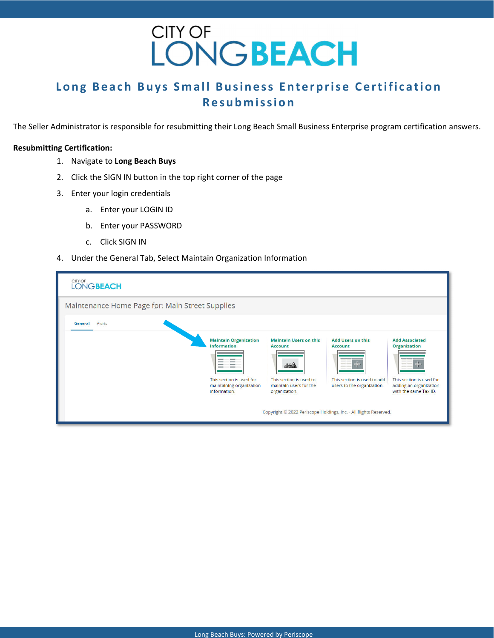# CITY OF<br>LONGBEACH

## **Long Beach Buys Small Business Enterprise Certification Resubmission**

The Seller Administrator is responsible for resubmitting their Long Beach Small Business Enterprise program certification answers.

### **Resubmitting Certification:**

- 1. Navigate to **Long Beach Buys**
- 2. Click the SIGN IN button in the top right corner of the page
- 3. Enter your login credentials
	- a. Enter your LOGIN ID
	- b. Enter your PASSWORD
	- c. Click SIGN IN
- 4. Under the General Tab, Select Maintain Organization Information

| CITY OF<br><b>LONGBEACH</b>                     |                                                                                                                            |                                                                                                                             |                                                                                                                                                                                                       |                                                                                                                                    |  |  |
|-------------------------------------------------|----------------------------------------------------------------------------------------------------------------------------|-----------------------------------------------------------------------------------------------------------------------------|-------------------------------------------------------------------------------------------------------------------------------------------------------------------------------------------------------|------------------------------------------------------------------------------------------------------------------------------------|--|--|
| Maintenance Home Page for: Main Street Supplies |                                                                                                                            |                                                                                                                             |                                                                                                                                                                                                       |                                                                                                                                    |  |  |
| Alerts<br>General                               |                                                                                                                            |                                                                                                                             |                                                                                                                                                                                                       |                                                                                                                                    |  |  |
|                                                 | <b>Maintain Organization</b><br><b>Information</b><br>This section is used for<br>maintaining organization<br>information. | <b>Maintain Users on this</b><br><b>Account</b><br>ھو<br>This section is used to<br>maintain users for the<br>organization. | <b>Add Users on this</b><br><b>Account</b><br><b>STATE OF GROOM</b><br>This section is used to add.<br>users to the organization.<br>Copyright © 2022 Periscope Holdings, Inc. - All Rights Reserved. | <b>Add Associated</b><br><b>Organization</b><br>___<br>This section is used for<br>adding an organization<br>with the same Tax ID. |  |  |